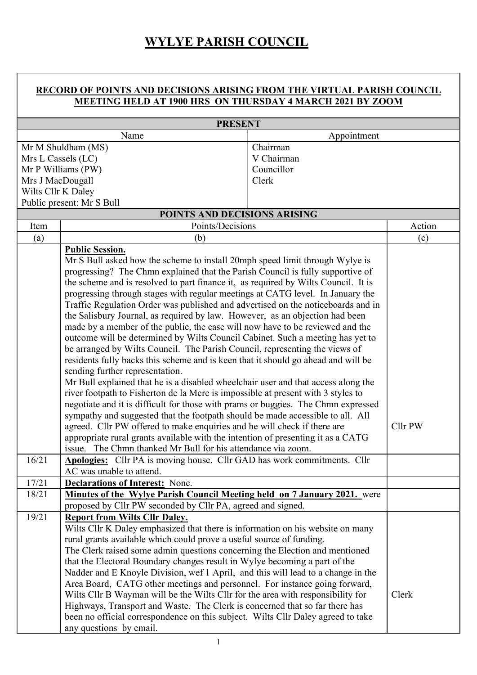## WYLYE PARISH COUNCIL

## RECORD OF POINTS AND DECISIONS ARISING FROM THE VIRTUAL PARISH COUNCIL MEETING HELD AT 1900 HRS ON THURSDAY 4 MARCH 2021 BY ZOOM

| <b>PRESENT</b>                                                                                              |                                                                                                                                                  |             |       |  |  |
|-------------------------------------------------------------------------------------------------------------|--------------------------------------------------------------------------------------------------------------------------------------------------|-------------|-------|--|--|
| Name                                                                                                        |                                                                                                                                                  | Appointment |       |  |  |
| Mr M Shuldham (MS)                                                                                          |                                                                                                                                                  | Chairman    |       |  |  |
| Mrs L Cassels (LC)                                                                                          |                                                                                                                                                  | V Chairman  |       |  |  |
| Mr P Williams (PW)                                                                                          |                                                                                                                                                  | Councillor  |       |  |  |
| Mrs J MacDougall                                                                                            |                                                                                                                                                  | Clerk       |       |  |  |
| Wilts Cllr K Daley                                                                                          |                                                                                                                                                  |             |       |  |  |
| Public present: Mr S Bull                                                                                   |                                                                                                                                                  |             |       |  |  |
| Item                                                                                                        | Action                                                                                                                                           |             |       |  |  |
| (a)                                                                                                         | Points/Decisions<br>(b)                                                                                                                          |             | (c)   |  |  |
|                                                                                                             | <b>Public Session.</b>                                                                                                                           |             |       |  |  |
|                                                                                                             | Mr S Bull asked how the scheme to install 20mph speed limit through Wylye is                                                                     |             |       |  |  |
|                                                                                                             | progressing? The Chmn explained that the Parish Council is fully supportive of                                                                   |             |       |  |  |
|                                                                                                             | the scheme and is resolved to part finance it, as required by Wilts Council. It is                                                               |             |       |  |  |
|                                                                                                             | progressing through stages with regular meetings at CATG level. In January the                                                                   |             |       |  |  |
|                                                                                                             | Traffic Regulation Order was published and advertised on the noticeboards and in                                                                 |             |       |  |  |
|                                                                                                             | the Salisbury Journal, as required by law. However, as an objection had been                                                                     |             |       |  |  |
|                                                                                                             | made by a member of the public, the case will now have to be reviewed and the                                                                    |             |       |  |  |
|                                                                                                             | outcome will be determined by Wilts Council Cabinet. Such a meeting has yet to                                                                   |             |       |  |  |
|                                                                                                             | be arranged by Wilts Council. The Parish Council, representing the views of                                                                      |             |       |  |  |
|                                                                                                             | residents fully backs this scheme and is keen that it should go ahead and will be                                                                |             |       |  |  |
|                                                                                                             | sending further representation.                                                                                                                  |             |       |  |  |
|                                                                                                             | Mr Bull explained that he is a disabled wheelchair user and that access along the                                                                |             |       |  |  |
|                                                                                                             | river footpath to Fisherton de la Mere is impossible at present with 3 styles to                                                                 |             |       |  |  |
|                                                                                                             | negotiate and it is difficult for those with prams or buggies. The Chmn expressed                                                                |             |       |  |  |
|                                                                                                             | sympathy and suggested that the footpath should be made accessible to all. All                                                                   |             |       |  |  |
|                                                                                                             | agreed. Cllr PW offered to make enquiries and he will check if there are                                                                         |             |       |  |  |
|                                                                                                             | appropriate rural grants available with the intention of presenting it as a CATG<br>issue. The Chmn thanked Mr Bull for his attendance via zoom. |             |       |  |  |
| 16/21                                                                                                       | Apologies: Cllr PA is moving house. Cllr GAD has work commitments. Cllr                                                                          |             |       |  |  |
|                                                                                                             | AC was unable to attend.                                                                                                                         |             |       |  |  |
| 17/21                                                                                                       | <b>Declarations of Interest:</b> None.                                                                                                           |             |       |  |  |
| 18/21                                                                                                       | <b>Minutes of the Wylye Parish Council Meeting held on 7 January 2021.</b> were                                                                  |             |       |  |  |
|                                                                                                             | proposed by Cllr PW seconded by Cllr PA, agreed and signed.                                                                                      |             |       |  |  |
| 19/21                                                                                                       | <b>Report from Wilts Cllr Daley.</b>                                                                                                             |             |       |  |  |
|                                                                                                             | Wilts Cllr K Daley emphasized that there is information on his website on many                                                                   |             |       |  |  |
|                                                                                                             | rural grants available which could prove a useful source of funding.                                                                             |             |       |  |  |
|                                                                                                             | The Clerk raised some admin questions concerning the Election and mentioned                                                                      |             |       |  |  |
|                                                                                                             | that the Electoral Boundary changes result in Wylye becoming a part of the                                                                       |             |       |  |  |
|                                                                                                             | Nadder and E Knoyle Division, wef 1 April, and this will lead to a change in the                                                                 |             |       |  |  |
|                                                                                                             | Area Board, CATG other meetings and personnel. For instance going forward,                                                                       |             |       |  |  |
|                                                                                                             | Wilts Cllr B Wayman will be the Wilts Cllr for the area with responsibility for                                                                  |             | Clerk |  |  |
|                                                                                                             | Highways, Transport and Waste. The Clerk is concerned that so far there has                                                                      |             |       |  |  |
| been no official correspondence on this subject. Wilts Cllr Daley agreed to take<br>any questions by email. |                                                                                                                                                  |             |       |  |  |
|                                                                                                             |                                                                                                                                                  |             |       |  |  |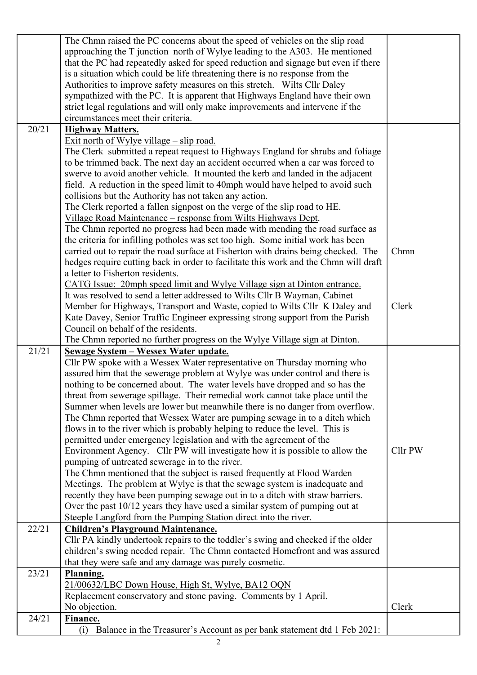|       | The Chmn raised the PC concerns about the speed of vehicles on the slip road                                             |         |
|-------|--------------------------------------------------------------------------------------------------------------------------|---------|
|       | approaching the T junction north of Wylye leading to the A303. He mentioned                                              |         |
|       | that the PC had repeatedly asked for speed reduction and signage but even if there                                       |         |
|       | is a situation which could be life threatening there is no response from the                                             |         |
|       | Authorities to improve safety measures on this stretch. Wilts Cllr Daley                                                 |         |
|       | sympathized with the PC. It is apparent that Highways England have their own                                             |         |
|       | strict legal regulations and will only make improvements and intervene if the                                            |         |
|       | circumstances meet their criteria.                                                                                       |         |
| 20/21 | <b>Highway Matters.</b>                                                                                                  |         |
|       | Exit north of Wylye village $-$ slip road.                                                                               |         |
|       | The Clerk submitted a repeat request to Highways England for shrubs and foliage                                          |         |
|       | to be trimmed back. The next day an accident occurred when a car was forced to                                           |         |
|       | swerve to avoid another vehicle. It mounted the kerb and landed in the adjacent                                          |         |
|       | field. A reduction in the speed limit to 40mph would have helped to avoid such                                           |         |
|       | collisions but the Authority has not taken any action.                                                                   |         |
|       | The Clerk reported a fallen signpost on the verge of the slip road to HE.                                                |         |
|       | Village Road Maintenance - response from Wilts Highways Dept.                                                            |         |
|       | The Chmn reported no progress had been made with mending the road surface as                                             |         |
|       | the criteria for infilling potholes was set too high. Some initial work has been                                         |         |
|       | carried out to repair the road surface at Fisherton with drains being checked. The                                       | Chmn    |
|       |                                                                                                                          |         |
|       | hedges require cutting back in order to facilitate this work and the Chmn will draft<br>a letter to Fisherton residents. |         |
|       |                                                                                                                          |         |
|       | CATG Issue: 20mph speed limit and Wylye Village sign at Dinton entrance.                                                 |         |
|       | It was resolved to send a letter addressed to Wilts Cllr B Wayman, Cabinet                                               |         |
|       | Member for Highways, Transport and Waste, copied to Wilts Cllr K Daley and                                               | Clerk   |
|       | Kate Davey, Senior Traffic Engineer expressing strong support from the Parish                                            |         |
|       | Council on behalf of the residents.                                                                                      |         |
|       | The Chmn reported no further progress on the Wylye Village sign at Dinton.                                               |         |
| 21/21 | Sewage System - Wessex Water update.                                                                                     |         |
|       | Cllr PW spoke with a Wessex Water representative on Thursday morning who                                                 |         |
|       | assured him that the sewerage problem at Wylye was under control and there is                                            |         |
|       |                                                                                                                          |         |
|       | nothing to be concerned about. The water levels have dropped and so has the                                              |         |
|       | threat from sewerage spillage. Their remedial work cannot take place until the                                           |         |
|       | Summer when levels are lower but meanwhile there is no danger from overflow.                                             |         |
|       | The Chmn reported that Wessex Water are pumping sewage in to a ditch which                                               |         |
|       | flows in to the river which is probably helping to reduce the level. This is                                             |         |
|       | permitted under emergency legislation and with the agreement of the                                                      |         |
|       | Environment Agency. Cllr PW will investigate how it is possible to allow the                                             | Cllr PW |
|       | pumping of untreated sewerage in to the river.                                                                           |         |
|       | The Chmn mentioned that the subject is raised frequently at Flood Warden                                                 |         |
|       | Meetings. The problem at Wylye is that the sewage system is inadequate and                                               |         |
|       | recently they have been pumping sewage out in to a ditch with straw barriers.                                            |         |
|       | Over the past 10/12 years they have used a similar system of pumping out at                                              |         |
|       | Steeple Langford from the Pumping Station direct into the river.                                                         |         |
| 22/21 | <b>Children's Playground Maintenance.</b>                                                                                |         |
|       | Cllr PA kindly undertook repairs to the toddler's swing and checked if the older                                         |         |
|       | children's swing needed repair. The Chmn contacted Homefront and was assured                                             |         |
|       | that they were safe and any damage was purely cosmetic.                                                                  |         |
| 23/21 | Planning.                                                                                                                |         |
|       | 21/00632/LBC Down House, High St, Wylye, BA12 OQN                                                                        |         |
|       | Replacement conservatory and stone paving. Comments by 1 April.                                                          |         |
|       | No objection.                                                                                                            | Clerk   |
| 24/21 | Finance.                                                                                                                 |         |